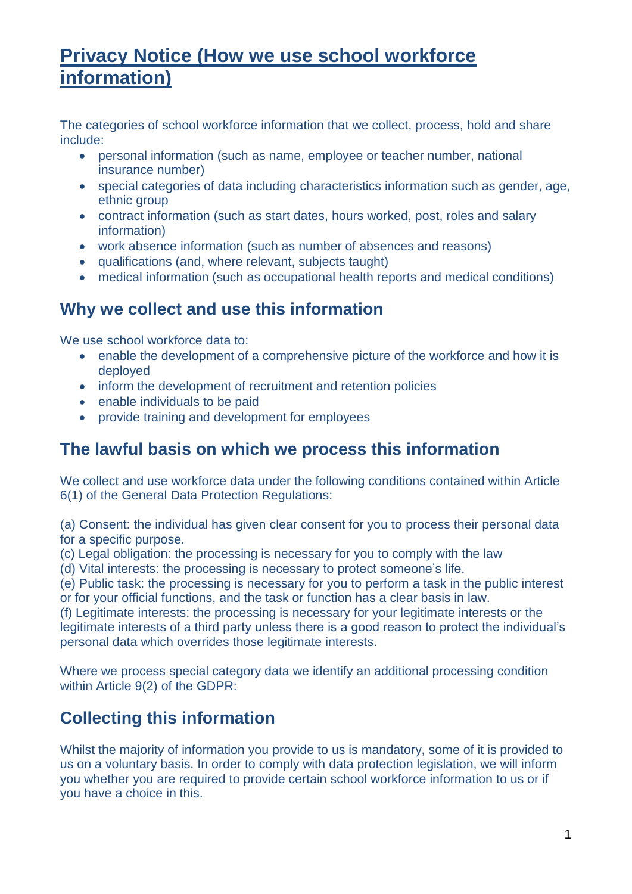# **Privacy Notice (How we use school workforce information)**

The categories of school workforce information that we collect, process, hold and share include:

- personal information (such as name, employee or teacher number, national insurance number)
- special categories of data including characteristics information such as gender, age, ethnic group
- contract information (such as start dates, hours worked, post, roles and salary information)
- work absence information (such as number of absences and reasons)
- qualifications (and, where relevant, subjects taught)
- medical information (such as occupational health reports and medical conditions)

#### **Why we collect and use this information**

We use school workforce data to:

- enable the development of a comprehensive picture of the workforce and how it is deployed
- inform the development of recruitment and retention policies
- enable individuals to be paid
- provide training and development for employees

#### **The lawful basis on which we process this information**

We collect and use workforce data under the following conditions contained within Article 6(1) of the General Data Protection Regulations:

(a) Consent: the individual has given clear consent for you to process their personal data for a specific purpose.

- (c) Legal obligation: the processing is necessary for you to comply with the law
- (d) Vital interests: the processing is necessary to protect someone's life.

(e) Public task: the processing is necessary for you to perform a task in the public interest or for your official functions, and the task or function has a clear basis in law.

(f) Legitimate interests: the processing is necessary for your legitimate interests or the legitimate interests of a third party unless there is a good reason to protect the individual's personal data which overrides those legitimate interests.

Where we process special category data we identify an additional processing condition within Article 9(2) of the GDPR:

## **Collecting this information**

Whilst the majority of information you provide to us is mandatory, some of it is provided to us on a voluntary basis. In order to comply with data protection legislation, we will inform you whether you are required to provide certain school workforce information to us or if you have a choice in this.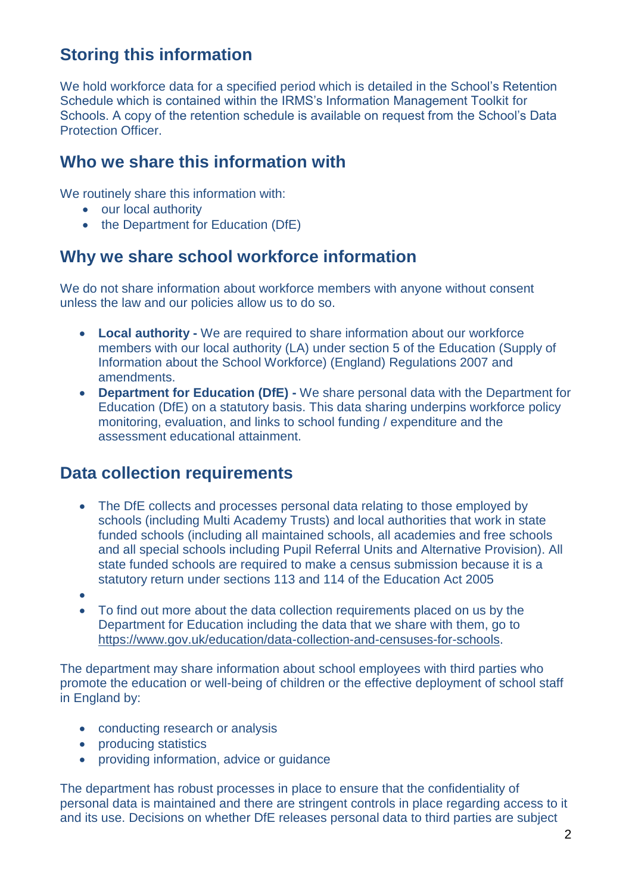# **Storing this information**

We hold workforce data for a specified period which is detailed in the School's Retention Schedule which is contained within the IRMS's Information Management Toolkit for Schools. A copy of the retention schedule is available on request from the School's Data Protection Officer.

#### **Who we share this information with**

We routinely share this information with:

- our local authority
- the Department for Education (DfE)

# **Why we share school workforce information**

We do not share information about workforce members with anyone without consent unless the law and our policies allow us to do so.

- **Local authority -** We are required to share information about our workforce members with our local authority (LA) under section 5 of the Education (Supply of Information about the School Workforce) (England) Regulations 2007 and amendments.
- **Department for Education (DfE) -** We share personal data with the Department for Education (DfE) on a statutory basis. This data sharing underpins workforce policy monitoring, evaluation, and links to school funding / expenditure and the assessment educational attainment.

#### **Data collection requirements**

- The DfE collects and processes personal data relating to those employed by schools (including Multi Academy Trusts) and local authorities that work in state funded schools (including all maintained schools, all academies and free schools and all special schools including Pupil Referral Units and Alternative Provision). All state funded schools are required to make a census submission because it is a statutory return under sections 113 and 114 of the Education Act 2005
- $\bullet$
- To find out more about the data collection requirements placed on us by the Department for Education including the data that we share with them, go to [https://www.gov.uk/education/data-collection-and-censuses-for-schools.](https://www.gov.uk/education/data-collection-and-censuses-for-schools)

The department may share information about school employees with third parties who promote the education or well-being of children or the effective deployment of school staff in England by:

- conducting research or analysis
- producing statistics
- providing information, advice or quidance

The department has robust processes in place to ensure that the confidentiality of personal data is maintained and there are stringent controls in place regarding access to it and its use. Decisions on whether DfE releases personal data to third parties are subject